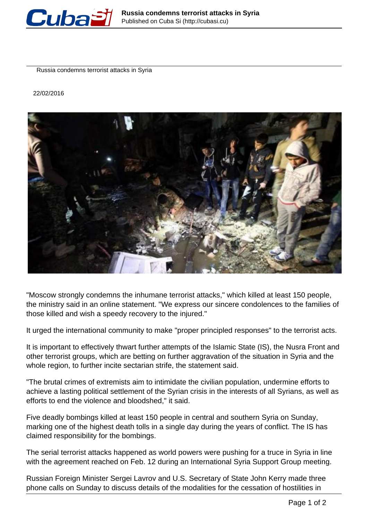

Russia condemns terrorist attacks in Syria

22/02/2016



"Moscow strongly condemns the inhumane terrorist attacks," which killed at least 150 people, the ministry said in an online statement. "We express our sincere condolences to the families of those killed and wish a speedy recovery to the injured."

It urged the international community to make "proper principled responses" to the terrorist acts.

It is important to effectively thwart further attempts of the Islamic State (IS), the Nusra Front and other terrorist groups, which are betting on further aggravation of the situation in Syria and the whole region, to further incite sectarian strife, the statement said.

"The brutal crimes of extremists aim to intimidate the civilian population, undermine efforts to achieve a lasting political settlement of the Syrian crisis in the interests of all Syrians, as well as efforts to end the violence and bloodshed," it said.

Five deadly bombings killed at least 150 people in central and southern Syria on Sunday, marking one of the highest death tolls in a single day during the years of conflict. The IS has claimed responsibility for the bombings.

The serial terrorist attacks happened as world powers were pushing for a truce in Syria in line with the agreement reached on Feb. 12 during an International Syria Support Group meeting.

Russian Foreign Minister Sergei Lavrov and U.S. Secretary of State John Kerry made three phone calls on Sunday to discuss details of the modalities for the cessation of hostilities in